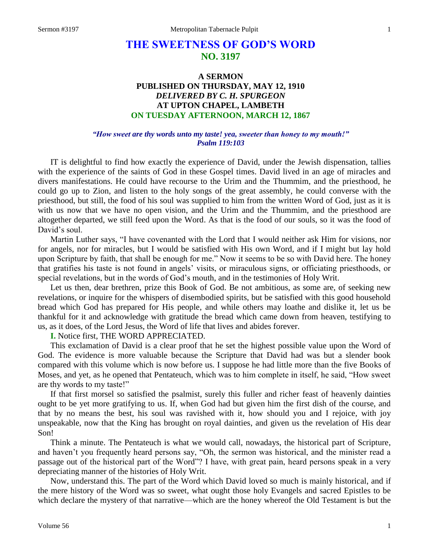# **THE SWEETNESS OF GOD'S WORD NO. 3197**

# **A SERMON PUBLISHED ON THURSDAY, MAY 12, 1910** *DELIVERED BY C. H. SPURGEON* **AT UPTON CHAPEL, LAMBETH ON TUESDAY AFTERNOON, MARCH 12, 1867**

#### *"How sweet are thy words unto my taste! yea, sweeter than honey to my mouth!" Psalm 119:103*

IT is delightful to find how exactly the experience of David, under the Jewish dispensation, tallies with the experience of the saints of God in these Gospel times. David lived in an age of miracles and divers manifestations. He could have recourse to the Urim and the Thummim, and the priesthood, he could go up to Zion, and listen to the holy songs of the great assembly, he could converse with the priesthood, but still, the food of his soul was supplied to him from the written Word of God, just as it is with us now that we have no open vision, and the Urim and the Thummim, and the priesthood are altogether departed, we still feed upon the Word. As that is the food of our souls, so it was the food of David's soul.

Martin Luther says, "I have covenanted with the Lord that I would neither ask Him for visions, nor for angels, nor for miracles, but I would be satisfied with His own Word, and if I might but lay hold upon Scripture by faith, that shall be enough for me." Now it seems to be so with David here. The honey that gratifies his taste is not found in angels' visits, or miraculous signs, or officiating priesthoods, or special revelations, but in the words of God's mouth, and in the testimonies of Holy Writ.

Let us then, dear brethren, prize this Book of God. Be not ambitious, as some are, of seeking new revelations, or inquire for the whispers of disembodied spirits, but be satisfied with this good household bread which God has prepared for His people, and while others may loathe and dislike it, let us be thankful for it and acknowledge with gratitude the bread which came down from heaven, testifying to us, as it does, of the Lord Jesus, the Word of life that lives and abides forever.

**I.** Notice first, THE WORD APPRECIATED.

This exclamation of David is a clear proof that he set the highest possible value upon the Word of God. The evidence is more valuable because the Scripture that David had was but a slender book compared with this volume which is now before us. I suppose he had little more than the five Books of Moses, and yet, as he opened that Pentateuch, which was to him complete in itself, he said, "How sweet are thy words to my taste!"

If that first morsel so satisfied the psalmist, surely this fuller and richer feast of heavenly dainties ought to be yet more gratifying to us. If, when God had but given him the first dish of the course, and that by no means the best, his soul was ravished with it, how should you and I rejoice, with joy unspeakable, now that the King has brought on royal dainties, and given us the revelation of His dear Son!

Think a minute. The Pentateuch is what we would call, nowadays, the historical part of Scripture, and haven't you frequently heard persons say, "Oh, the sermon was historical, and the minister read a passage out of the historical part of the Word"? I have, with great pain, heard persons speak in a very depreciating manner of the histories of Holy Writ.

Now, understand this. The part of the Word which David loved so much is mainly historical, and if the mere history of the Word was so sweet, what ought those holy Evangels and sacred Epistles to be which declare the mystery of that narrative—which are the honey whereof the Old Testament is but the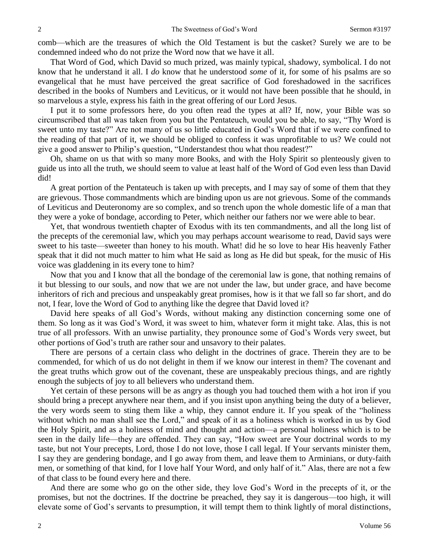comb—which are the treasures of which the Old Testament is but the casket? Surely we are to be condemned indeed who do not prize the Word now that we have it all.

That Word of God, which David so much prized, was mainly typical, shadowy, symbolical. I do not know that he understand it all. I *do* know that he understood *some* of it, for some of his psalms are so evangelical that he must have perceived the great sacrifice of God foreshadowed in the sacrifices described in the books of Numbers and Leviticus, or it would not have been possible that he should, in so marvelous a style, express his faith in the great offering of our Lord Jesus.

I put it to some professors here, do you often read the types at all? If, now, your Bible was so circumscribed that all was taken from you but the Pentateuch, would you be able, to say, "Thy Word is sweet unto my taste?" Are not many of us so little educated in God's Word that if we were confined to the reading of that part of it, we should be obliged to confess it was unprofitable to us? We could not give a good answer to Philip's question, "Understandest thou what thou readest?"

Oh, shame on us that with so many more Books, and with the Holy Spirit so plenteously given to guide us into all the truth, we should seem to value at least half of the Word of God even less than David did!

A great portion of the Pentateuch is taken up with precepts, and I may say of some of them that they are grievous. Those commandments which are binding upon us are not grievous. Some of the commands of Leviticus and Deuteronomy are so complex, and so trench upon the whole domestic life of a man that they were a yoke of bondage, according to Peter, which neither our fathers nor we were able to bear.

Yet, that wondrous twentieth chapter of Exodus with its ten commandments, and all the long list of the precepts of the ceremonial law, which you may perhaps account wearisome to read, David says were sweet to his taste—sweeter than honey to his mouth. What! did he so love to hear His heavenly Father speak that it did not much matter to him what He said as long as He did but speak, for the music of His voice was gladdening in its every tone to him?

Now that you and I know that all the bondage of the ceremonial law is gone, that nothing remains of it but blessing to our souls, and now that we are not under the law, but under grace, and have become inheritors of rich and precious and unspeakably great promises, how is it that we fall so far short, and do not, I fear, love the Word of God to anything like the degree that David loved it?

David here speaks of all God's Words, without making any distinction concerning some one of them. So long as it was God's Word, it was sweet to him, whatever form it might take. Alas, this is not true of all professors. With an unwise partiality, they pronounce some of God's Words very sweet, but other portions of God's truth are rather sour and unsavory to their palates.

There are persons of a certain class who delight in the doctrines of grace. Therein they are to be commended, for which of us do not delight in them if we know our interest in them? The covenant and the great truths which grow out of the covenant, these are unspeakably precious things, and are rightly enough the subjects of joy to all believers who understand them.

Yet certain of these persons will be as angry as though you had touched them with a hot iron if you should bring a precept anywhere near them, and if you insist upon anything being the duty of a believer, the very words seem to sting them like a whip, they cannot endure it. If you speak of the "holiness without which no man shall see the Lord," and speak of it as a holiness which is worked in us by God the Holy Spirit, and as a holiness of mind and thought and action—a personal holiness which is to be seen in the daily life—they are offended. They can say, "How sweet are Your doctrinal words to my taste, but not Your precepts, Lord, those I do not love, those I call legal. If Your servants minister them, I say they are gendering bondage, and I go away from them, and leave them to Arminians, or duty-faith men, or something of that kind, for I love half Your Word, and only half of it." Alas, there are not a few of that class to be found every here and there.

And there are some who go on the other side, they love God's Word in the precepts of it, or the promises, but not the doctrines. If the doctrine be preached, they say it is dangerous—too high, it will elevate some of God's servants to presumption, it will tempt them to think lightly of moral distinctions,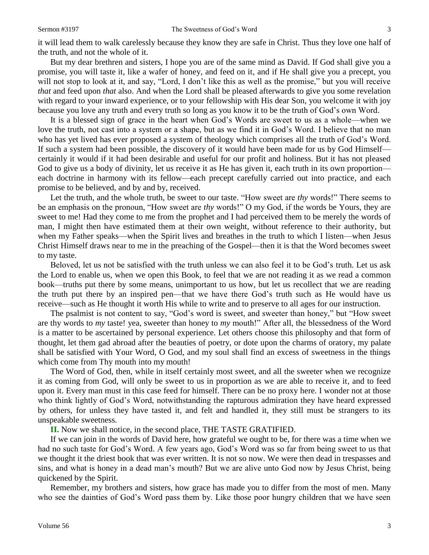it will lead them to walk carelessly because they know they are safe in Christ. Thus they love one half of the truth, and not the whole of it.

But my dear brethren and sisters, I hope you are of the same mind as David. If God shall give you a promise, you will taste it, like a wafer of honey, and feed on it, and if He shall give you a precept, you will not stop to look at it, and say, "Lord, I don't like this as well as the promise," but you will receive *that* and feed upon *that* also. And when the Lord shall be pleased afterwards to give you some revelation with regard to your inward experience, or to your fellowship with His dear Son, you welcome it with joy because you love any truth and every truth so long as you know it to be the truth of God's own Word.

It is a blessed sign of grace in the heart when God's Words are sweet to us as a whole—when we love the truth, not cast into a system or a shape, but as we find it in God's Word. I believe that no man who has yet lived has ever proposed a system of theology which comprises all the truth of God's Word. If such a system had been possible, the discovery of it would have been made for us by God Himself certainly it would if it had been desirable and useful for our profit and holiness. But it has not pleased God to give us a body of divinity, let us receive it as He has given it, each truth in its own proportion each doctrine in harmony with its fellow—each precept carefully carried out into practice, and each promise to be believed, and by and by, received.

Let the truth, and the whole truth, be sweet to our taste. "How sweet are *thy* words!" There seems to be an emphasis on the pronoun, "How sweet are *thy* words!" O my God, if the words be Yours, they are sweet to me! Had they come to me from the prophet and I had perceived them to be merely the words of man, I might then have estimated them at their own weight, without reference to their authority, but when my Father speaks—when the Spirit lives and breathes in the truth to which I listen—when Jesus Christ Himself draws near to me in the preaching of the Gospel—then it is that the Word becomes sweet to my taste.

Beloved, let us not be satisfied with the truth unless we can also feel it to be God's truth. Let us ask the Lord to enable us, when we open this Book, to feel that we are not reading it as we read a common book—truths put there by some means, unimportant to us how, but let us recollect that we are reading the truth put there by an inspired pen—that we have there God's truth such as He would have us receive—such as He thought it worth His while to write and to preserve to all ages for our instruction.

The psalmist is not content to say, "God's word is sweet, and sweeter than honey," but "How sweet are thy words to *my* taste! yea, sweeter than honey to *my* mouth!" After all, the blessedness of the Word is a matter to be ascertained by personal experience. Let others choose this philosophy and that form of thought, let them gad abroad after the beauties of poetry, or dote upon the charms of oratory, my palate shall be satisfied with Your Word, O God, and my soul shall find an excess of sweetness in the things which come from Thy mouth into my mouth!

The Word of God, then, while in itself certainly most sweet, and all the sweeter when we recognize it as coming from God, will only be sweet to us in proportion as we are able to receive it, and to feed upon it. Every man must in this case feed for himself. There can be no proxy here. I wonder not at those who think lightly of God's Word, notwithstanding the rapturous admiration they have heard expressed by others, for unless they have tasted it, and felt and handled it, they still must be strangers to its unspeakable sweetness.

**II.** Now we shall notice, in the second place, THE TASTE GRATIFIED.

If we can join in the words of David here, how grateful we ought to be, for there was a time when we had no such taste for God's Word. A few years ago, God's Word was so far from being sweet to us that we thought it the driest book that was ever written. It is not so now. We were then dead in trespasses and sins, and what is honey in a dead man's mouth? But we are alive unto God now by Jesus Christ, being quickened by the Spirit.

Remember, my brothers and sisters, how grace has made you to differ from the most of men. Many who see the dainties of God's Word pass them by. Like those poor hungry children that we have seen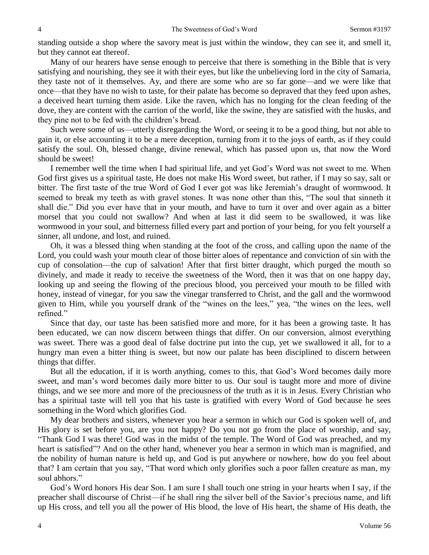standing outside a shop where the savory meat is just within the window, they can see it, and smell it, but they cannot eat thereof.

Many of our hearers have sense enough to perceive that there is something in the Bible that is very satisfying and nourishing, they see it with their eyes, but like the unbelieving lord in the city of Samaria, they taste not of it themselves. Ay, and there are some who are so far gone—and we were like that once—that they have no wish to taste, for their palate has become so depraved that they feed upon ashes, a deceived heart turning them aside. Like the raven, which has no longing for the clean feeding of the dove, they are content with the carrion of the world, like the swine, they are satisfied with the husks, and they pine not to be fed with the children's bread.

Such were some of us—utterly disregarding the Word, or seeing it to be a good thing, but not able to gain it, or else accounting it to be a mere deception, turning from it to the joys of earth, as if they could satisfy the soul. Oh, blessed change, divine renewal, which has passed upon us, that now the Word should be sweet!

I remember well the time when I had spiritual life, and yet God's Word was not sweet to me. When God first gives us a spiritual taste, He does not make His Word sweet, but rather, if I may so say, salt or bitter. The first taste of the true Word of God I ever got was like Jeremiah's draught of wormwood. It seemed to break my teeth as with gravel stones. It was none other than this, "The soul that sinneth it shall die." Did you ever have that in your mouth, and have to turn it over and over again as a bitter morsel that you could not swallow? And when at last it did seem to be swallowed, it was like wormwood in your soul, and bitterness filled every part and portion of your being, for you felt yourself a sinner, all undone, and lost, and ruined.

Oh, it was a blessed thing when standing at the foot of the cross, and calling upon the name of the Lord, you could wash your mouth clear of those bitter aloes of repentance and conviction of sin with the cup of consolation—the cup of salvation! After that first bitter draught, which purged the mouth so divinely, and made it ready to receive the sweetness of the Word, then it was that on one happy day, looking up and seeing the flowing of the precious blood, you perceived your mouth to be filled with honey, instead of vinegar, for you saw the vinegar transferred to Christ, and the gall and the wormwood given to Him, while you yourself drank of the "wines on the lees," yea, "the wines on the lees, well refined."

Since that day, our taste has been satisfied more and more, for it has been a growing taste. It has been educated, we can now discern between things that differ. On our conversion, almost everything was sweet. There was a good deal of false doctrine put into the cup, yet we swallowed it all, for to a hungry man even a bitter thing is sweet, but now our palate has been disciplined to discern between things that differ.

But all the education, if it is worth anything, comes to this, that God's Word becomes daily more sweet, and man's word becomes daily more bitter to us. Our soul is taught more and more of divine things, and we see more and more of the preciousness of the truth as it is in Jesus. Every Christian who has a spiritual taste will tell you that his taste is gratified with every Word of God because he sees something in the Word which glorifies God.

My dear brothers and sisters, whenever you hear a sermon in which our God is spoken well of, and His glory is set before you, are you not happy? Do you not go from the place of worship, and say, "Thank God I was there! God was in the midst of the temple. The Word of God was preached, and my heart is satisfied"? And on the other hand, whenever you hear a sermon in which man is magnified, and the nobility of human nature is held up, and God is put anywhere or nowhere, how do you feel about that? I am certain that you say, "That word which only glorifies such a poor fallen creature as man, my soul abhors."

God's Word honors His dear Son. I am sure I shall touch one string in your hearts when I say, if the preacher shall discourse of Christ—if he shall ring the silver bell of the Savior's precious name, and lift up His cross, and tell you all the power of His blood, the love of His heart, the shame of His death, the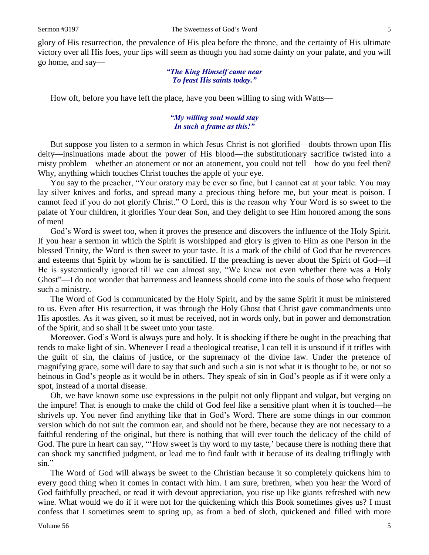glory of His resurrection, the prevalence of His plea before the throne, and the certainty of His ultimate victory over all His foes, your lips will seem as though you had some dainty on your palate, and you will go home, and say—

> *"The King Himself came near To feast His saints today."*

How oft, before you have left the place, have you been willing to sing with Watts—

# *"My willing soul would stay In such a frame as this!"*

But suppose you listen to a sermon in which Jesus Christ is not glorified—doubts thrown upon His deity—insinuations made about the power of His blood—the substitutionary sacrifice twisted into a misty problem—whether an atonement or not an atonement, you could not tell—how do you feel then? Why, anything which touches Christ touches the apple of your eye.

You say to the preacher, "Your oratory may be ever so fine, but I cannot eat at your table. You may lay silver knives and forks, and spread many a precious thing before me, but your meat is poison. I cannot feed if you do not glorify Christ." O Lord, this is the reason why Your Word is so sweet to the palate of Your children, it glorifies Your dear Son, and they delight to see Him honored among the sons of men!

God's Word is sweet too, when it proves the presence and discovers the influence of the Holy Spirit. If you hear a sermon in which the Spirit is worshipped and glory is given to Him as one Person in the blessed Trinity, the Word is then sweet to your taste. It is a mark of the child of God that he reverences and esteems that Spirit by whom he is sanctified. If the preaching is never about the Spirit of God—if He is systematically ignored till we can almost say, "We knew not even whether there was a Holy Ghost"—I do not wonder that barrenness and leanness should come into the souls of those who frequent such a ministry.

The Word of God is communicated by the Holy Spirit, and by the same Spirit it must be ministered to us. Even after His resurrection, it was through the Holy Ghost that Christ gave commandments unto His apostles. As it was given, so it must be received, not in words only, but in power and demonstration of the Spirit, and so shall it be sweet unto your taste.

Moreover, God's Word is always pure and holy. It is shocking if there be ought in the preaching that tends to make light of sin. Whenever I read a theological treatise, I can tell it is unsound if it trifles with the guilt of sin, the claims of justice, or the supremacy of the divine law. Under the pretence of magnifying grace, some will dare to say that such and such a sin is not what it is thought to be, or not so heinous in God's people as it would be in others. They speak of sin in God's people as if it were only a spot, instead of a mortal disease.

Oh, we have known some use expressions in the pulpit not only flippant and vulgar, but verging on the impure! That is enough to make the child of God feel like a sensitive plant when it is touched—he shrivels up. You never find anything like that in God's Word. There are some things in our common version which do not suit the common ear, and should not be there, because they are not necessary to a faithful rendering of the original, but there is nothing that will ever touch the delicacy of the child of God. The pure in heart can say, "'How sweet is thy word to my taste,' because there is nothing there that can shock my sanctified judgment, or lead me to find fault with it because of its dealing triflingly with sin."

The Word of God will always be sweet to the Christian because it so completely quickens him to every good thing when it comes in contact with him. I am sure, brethren, when you hear the Word of God faithfully preached, or read it with devout appreciation, you rise up like giants refreshed with new wine. What would we do if it were not for the quickening which this Book sometimes gives us? I must confess that I sometimes seem to spring up, as from a bed of sloth, quickened and filled with more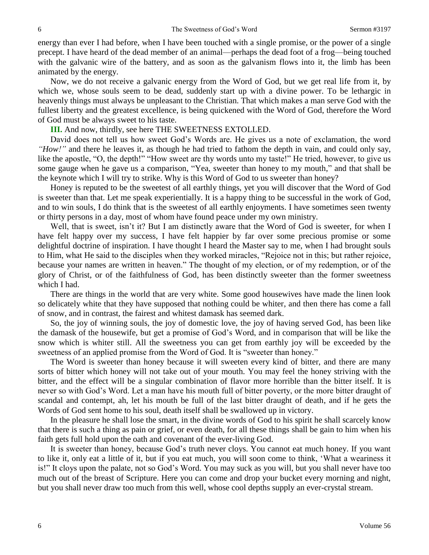energy than ever I had before, when I have been touched with a single promise, or the power of a single precept. I have heard of the dead member of an animal—perhaps the dead foot of a frog—being touched with the galvanic wire of the battery, and as soon as the galvanism flows into it, the limb has been animated by the energy.

Now, we do not receive a galvanic energy from the Word of God, but we get real life from it, by which we, whose souls seem to be dead, suddenly start up with a divine power. To be lethargic in heavenly things must always be unpleasant to the Christian. That which makes a man serve God with the fullest liberty and the greatest excellence, is being quickened with the Word of God, therefore the Word of God must be always sweet to his taste.

## **III.** And now, thirdly, see here THE SWEETNESS EXTOLLED.

David does not tell us how sweet God's Words are. He gives us a note of exclamation, the word *"How!"* and there he leaves it, as though he had tried to fathom the depth in vain, and could only say, like the apostle, "O, the depth!" "How sweet are thy words unto my taste!" He tried, however, to give us some gauge when he gave us a comparison, "Yea, sweeter than honey to my mouth," and that shall be the keynote which I will try to strike. Why is this Word of God to us sweeter than honey?

Honey is reputed to be the sweetest of all earthly things, yet you will discover that the Word of God is sweeter than that. Let me speak experientially. It is a happy thing to be successful in the work of God, and to win souls, I do think that is the sweetest of all earthly enjoyments. I have sometimes seen twenty or thirty persons in a day, most of whom have found peace under my own ministry.

Well, that is sweet, isn't it? But I am distinctly aware that the Word of God is sweeter, for when I have felt happy over my success, I have felt happier by far over some precious promise or some delightful doctrine of inspiration. I have thought I heard the Master say to me, when I had brought souls to Him, what He said to the disciples when they worked miracles, "Rejoice not in this; but rather rejoice, because your names are written in heaven." The thought of my election, or of my redemption, or of the glory of Christ, or of the faithfulness of God, has been distinctly sweeter than the former sweetness which I had.

There are things in the world that are very white. Some good housewives have made the linen look so delicately white that they have supposed that nothing could be whiter, and then there has come a fall of snow, and in contrast, the fairest and whitest damask has seemed dark.

So, the joy of winning souls, the joy of domestic love, the joy of having served God, has been like the damask of the housewife, but get a promise of God's Word, and in comparison that will be like the snow which is whiter still. All the sweetness you can get from earthly joy will be exceeded by the sweetness of an applied promise from the Word of God. It is "sweeter than honey."

The Word is sweeter than honey because it will sweeten every kind of bitter, and there are many sorts of bitter which honey will not take out of your mouth. You may feel the honey striving with the bitter, and the effect will be a singular combination of flavor more horrible than the bitter itself. It is never so with God's Word. Let a man have his mouth full of bitter poverty, or the more bitter draught of scandal and contempt, ah, let his mouth be full of the last bitter draught of death, and if he gets the Words of God sent home to his soul, death itself shall be swallowed up in victory.

In the pleasure he shall lose the smart, in the divine words of God to his spirit he shall scarcely know that there is such a thing as pain or grief, or even death, for all these things shall be gain to him when his faith gets full hold upon the oath and covenant of the ever-living God.

It is sweeter than honey, because God's truth never cloys. You cannot eat much honey. If you want to like it, only eat a little of it, but if you eat much, you will soon come to think, 'What a weariness it is!" It cloys upon the palate, not so God's Word. You may suck as you will, but you shall never have too much out of the breast of Scripture. Here you can come and drop your bucket every morning and night, but you shall never draw too much from this well, whose cool depths supply an ever-crystal stream.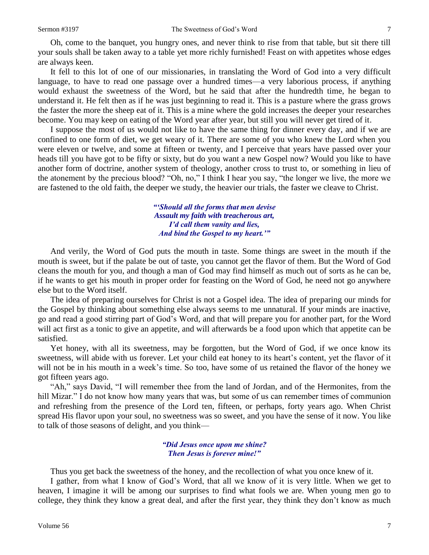It fell to this lot of one of our missionaries, in translating the Word of God into a very difficult language, to have to read one passage over a hundred times—a very laborious process, if anything would exhaust the sweetness of the Word, but he said that after the hundredth time, he began to understand it. He felt then as if he was just beginning to read it. This is a pasture where the grass grows the faster the more the sheep eat of it. This is a mine where the gold increases the deeper your researches become. You may keep on eating of the Word year after year, but still you will never get tired of it.

I suppose the most of us would not like to have the same thing for dinner every day, and if we are confined to one form of diet, we get weary of it. There are some of you who knew the Lord when you were eleven or twelve, and some at fifteen or twenty, and I perceive that years have passed over your heads till you have got to be fifty or sixty, but do you want a new Gospel now? Would you like to have another form of doctrine, another system of theology, another cross to trust to, or something in lieu of the atonement by the precious blood? "Oh, no," I think I hear you say, "the longer we live, the more we are fastened to the old faith, the deeper we study, the heavier our trials, the faster we cleave to Christ.

> *"'Should all the forms that men devise Assault my faith with treacherous art, I'd call them vanity and lies, And bind the Gospel to my heart.'"*

And verily, the Word of God puts the mouth in taste. Some things are sweet in the mouth if the mouth is sweet, but if the palate be out of taste, you cannot get the flavor of them. But the Word of God cleans the mouth for you, and though a man of God may find himself as much out of sorts as he can be, if he wants to get his mouth in proper order for feasting on the Word of God, he need not go anywhere else but to the Word itself.

The idea of preparing ourselves for Christ is not a Gospel idea. The idea of preparing our minds for the Gospel by thinking about something else always seems to me unnatural. If your minds are inactive, go and read a good stirring part of God's Word, and that will prepare you for another part, for the Word will act first as a tonic to give an appetite, and will afterwards be a food upon which that appetite can be satisfied.

Yet honey, with all its sweetness, may be forgotten, but the Word of God, if we once know its sweetness, will abide with us forever. Let your child eat honey to its heart's content, yet the flavor of it will not be in his mouth in a week's time. So too, have some of us retained the flavor of the honey we got fifteen years ago.

"Ah," says David, "I will remember thee from the land of Jordan, and of the Hermonites, from the hill Mizar." I do not know how many years that was, but some of us can remember times of communion and refreshing from the presence of the Lord ten, fifteen, or perhaps, forty years ago. When Christ spread His flavor upon your soul, no sweetness was so sweet, and you have the sense of it now. You like to talk of those seasons of delight, and you think—

> *"Did Jesus once upon me shine? Then Jesus is forever mine!"*

Thus you get back the sweetness of the honey, and the recollection of what you once knew of it.

I gather, from what I know of God's Word, that all we know of it is very little. When we get to heaven, I imagine it will be among our surprises to find what fools we are. When young men go to college, they think they know a great deal, and after the first year, they think they don't know as much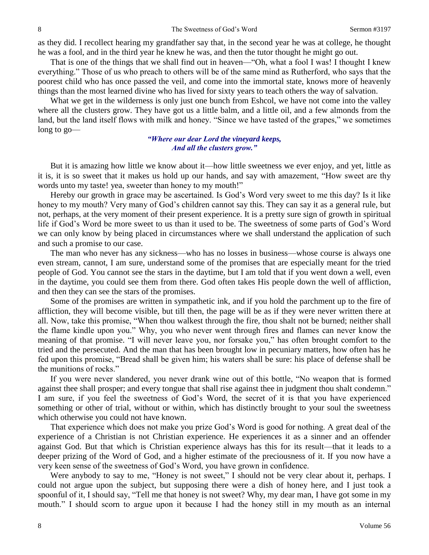as they did. I recollect hearing my grandfather say that, in the second year he was at college, he thought he was a fool, and in the third year he knew he was, and then the tutor thought he might go out.

That is one of the things that we shall find out in heaven—"Oh, what a fool I was! I thought I knew everything." Those of us who preach to others will be of the same mind as Rutherford, who says that the poorest child who has once passed the veil, and come into the immortal state, knows more of heavenly things than the most learned divine who has lived for sixty years to teach others the way of salvation.

What we get in the wilderness is only just one bunch from Eshcol, we have not come into the valley where all the clusters grow. They have got us a little balm, and a little oil, and a few almonds from the land, but the land itself flows with milk and honey. "Since we have tasted of the grapes," we sometimes long to go—

## *"Where our dear Lord the vineyard keeps, And all the clusters grow."*

But it is amazing how little we know about it—how little sweetness we ever enjoy, and yet, little as it is, it is so sweet that it makes us hold up our hands, and say with amazement, "How sweet are thy words unto my taste! yea, sweeter than honey to my mouth!"

Hereby our growth in grace may be ascertained. Is God's Word very sweet to me this day? Is it like honey to my mouth? Very many of God's children cannot say this. They can say it as a general rule, but not, perhaps, at the very moment of their present experience. It is a pretty sure sign of growth in spiritual life if God's Word be more sweet to us than it used to be. The sweetness of some parts of God's Word we can only know by being placed in circumstances where we shall understand the application of such and such a promise to our case.

The man who never has any sickness—who has no losses in business—whose course is always one even stream, cannot, I am sure, understand some of the promises that are especially meant for the tried people of God. You cannot see the stars in the daytime, but I am told that if you went down a well, even in the daytime, you could see them from there. God often takes His people down the well of affliction, and then they can see the stars of the promises.

Some of the promises are written in sympathetic ink, and if you hold the parchment up to the fire of affliction, they will become visible, but till then, the page will be as if they were never written there at all. Now, take this promise, "When thou walkest through the fire, thou shalt not be burned; neither shall the flame kindle upon you." Why, you who never went through fires and flames can never know the meaning of that promise. "I will never leave you, nor forsake you," has often brought comfort to the tried and the persecuted. And the man that has been brought low in pecuniary matters, how often has he fed upon this promise, "Bread shall be given him; his waters shall be sure: his place of defense shall be the munitions of rocks."

If you were never slandered, you never drank wine out of this bottle, "No weapon that is formed against thee shall prosper; and every tongue that shall rise against thee in judgment thou shalt condemn." I am sure, if you feel the sweetness of God's Word, the secret of it is that you have experienced something or other of trial, without or within, which has distinctly brought to your soul the sweetness which otherwise you could not have known.

That experience which does not make you prize God's Word is good for nothing. A great deal of the experience of a Christian is not Christian experience. He experiences it as a sinner and an offender against God. But that which is Christian experience always has this for its result—that it leads to a deeper prizing of the Word of God, and a higher estimate of the preciousness of it. If you now have a very keen sense of the sweetness of God's Word, you have grown in confidence.

Were anybody to say to me, "Honey is not sweet," I should not be very clear about it, perhaps. I could not argue upon the subject, but supposing there were a dish of honey here, and I just took a spoonful of it, I should say, "Tell me that honey is not sweet? Why, my dear man, I have got some in my mouth." I should scorn to argue upon it because I had the honey still in my mouth as an internal